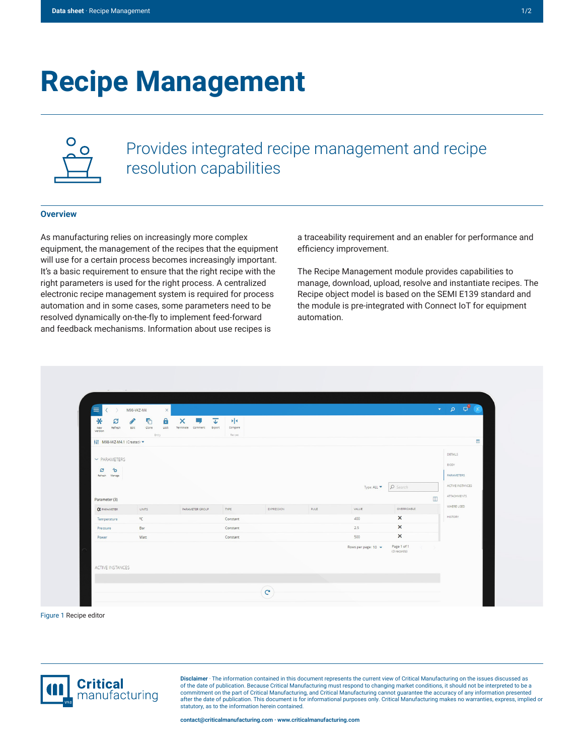## **Recipe Management**



Provides integrated recipe management and recipe resolution capabilities

## **Overview**

As manufacturing relies on increasingly more complex equipment, the management of the recipes that the equipment will use for a certain process becomes increasingly important. It's a basic requirement to ensure that the right recipe with the right parameters is used for the right process. A centralized electronic recipe management system is required for process automation and in some cases, some parameters need to be resolved dynamically on-the-fly to implement feed-forward and feedback mechanisms. Information about use recipes is

a traceability requirement and an enabler for performance and efficiency improvement.

The Recipe Management module provides capabilities to manage, download, upload, resolve and instantiate recipes. The Recipe object model is based on the SEMI E139 standard and the module is pre-integrated with Connect IoT for equipment automation.

| $\ast$<br>S<br>Refresh<br>New<br>Version                                                    | Α<br>¢<br>Ô<br>Edit<br>clone<br>Entry | ×<br>ᠼ<br>Lock Terminate Comment Export | $\blacktriangleright$<br>Compare<br>Recipes |            |      |                                |                                                 |                                                                                                  |
|---------------------------------------------------------------------------------------------|---------------------------------------|-----------------------------------------|---------------------------------------------|------------|------|--------------------------------|-------------------------------------------------|--------------------------------------------------------------------------------------------------|
| H1 M98-VKZ-M4.1 (Created) -<br>$\vee$ PARAMETERS<br>仓<br>$\boldsymbol{z}$<br>Refresh Manage |                                       |                                         |                                             |            |      | Type: ALL $\blacktriangledown$ | $\rho$ Search                                   | $\left  \frac{1}{2} \right $<br>DETAILS<br>BODY<br>PARAMETERS<br>ACTIVE INSTANCES<br>ATTACHMENTS |
| Parameter (3)<br><b>OX</b> PARAMETER<br>Temperature                                         | UNITS<br>$\circ$ C                    | PARAMETER GROUP                         | TYPE<br>Constant                            | EXPRESSION | RULE | VALUE<br>400                   | $\blacksquare$<br>OVERRIDABLE<br>$\pmb{\times}$ | WHERE USED<br><b>HISTORY</b>                                                                     |
| Pressure<br>Power                                                                           | Bar<br>Watt                           |                                         | Constant<br>Constant                        |            |      | 2.5<br>500                     | $\boldsymbol{\mathsf{x}}$<br>$\times$           |                                                                                                  |
| <b>ACTIVE INSTANCES</b>                                                                     |                                       |                                         |                                             |            |      | Rows per page: 10 -            | Page 1 of 1<br>(3 records)                      |                                                                                                  |

Figure 1 Recipe editor



**Disclaimer** · The information contained in this document represents the current view of Critical Manufacturing on the issues discussed as of the date of publication. Because Critical Manufacturing must respond to changing market conditions, it should not be interpreted to be a<br>commitment on the part of Critical Manufacturing, and Critical Manufacturing canno statutory, as to the information herein contained.